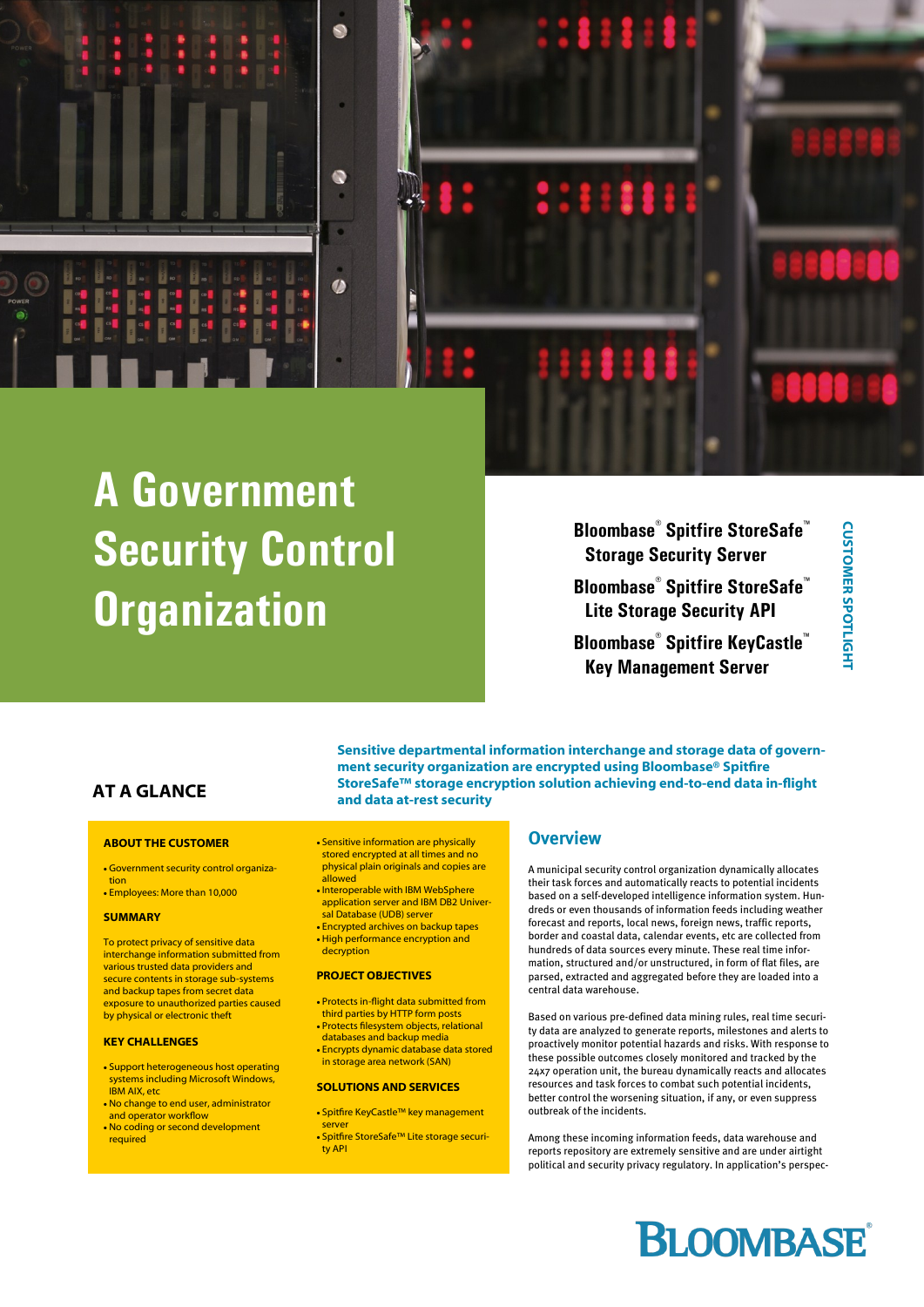

# **A Government Security Control Organization**

**Bloombase® Spitfire StoreSafe™ Storage Security Server Bloombase® Spitfire StoreSafe™ Lite Storage Security API Bloombase® Spitfire KeyCastle™ Key Management Server**

# **AT A GLANCE**

### **ABOUT THE CUSTOMER**

- Government security control organization
- Employees: More than 10,000

### **SUMMARY**

To protect privacy of sensitive data interchange information submitted from various trusted data providers and secure contents in storage sub-systems and backup tapes from secret data exposure to unauthorized parties caused by physical or electronic theft

### **KEY CHALLENGES**

- Support heterogeneous host operating systems including Microsoft Windows IBM AIX, etc
- No change to end user, administrator and operator workflow No coding or second development
- required

 Sensitive information are physically stored encrypted at all times and no physical plain originals and copies are allowed

**and data at-rest security**

- Interoperable with IBM WebSphere application server and IBM DB2 Universal Database (UDB) server
- Encrypted archives on backup tapes
- High performance encryption and decryption

### **PROJECT OBJECTIVES**

- Protects in-flight data submitted from third parties by HTTP form posts
- Protects filesystem objects, relational databases and backup media
- Encrypts dynamic database data stored in storage area network (SAN)

### **SOLUTIONS AND SERVICES**

- Spitfire KeyCastle™ key management
	- server Spitfire StoreSafe™ Lite storage security API

### **Overview**

**ment security organization are encrypted using Bloombase® Spitfire StoreSafe™ storage encryption solution achieving end-to-end data in-flight** 

**Sensitive departmental information interchange and storage data of govern-**

A municipal security control organization dynamically allocates their task forces and automatically reacts to potential incidents based on a self-developed intelligence information system. Hundreds or even thousands of information feeds including weather forecast and reports, local news, foreign news, traffic reports, border and coastal data, calendar events, etc are collected from hundreds of data sources every minute. These real time information, structured and/or unstructured, in form of flat files, are parsed, extracted and aggregated before they are loaded into a central data warehouse.

Based on various pre-defined data mining rules, real time security data are analyzed to generate reports, milestones and alerts to proactively monitor potential hazards and risks. With response to these possible outcomes closely monitored and tracked by the 24x7 operation unit, the bureau dynamically reacts and allocates resources and task forces to combat such potential incidents, better control the worsening situation, if any, or even suppress outbreak of the incidents.

Among these incoming information feeds, data warehouse and reports repository are extremely sensitive and are under airtight political and security privacy regulatory. In application's perspec-

# **BLOOMBASE**